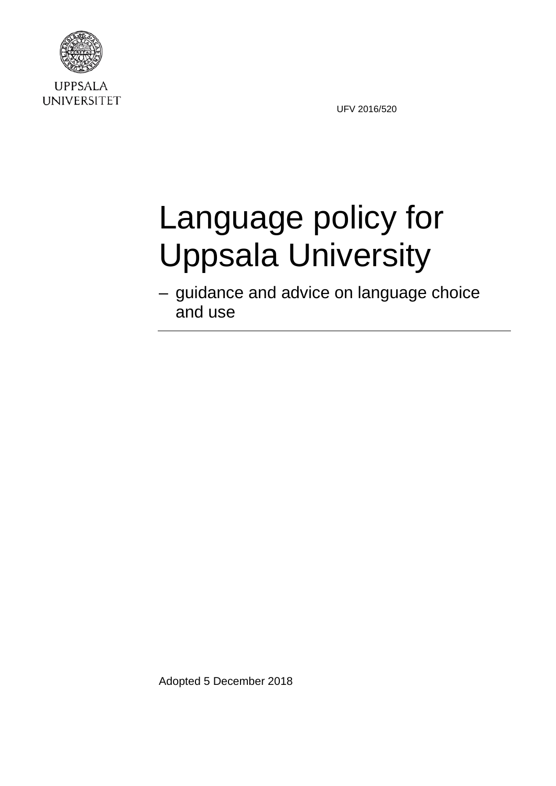

**UPPSALA UNIVERSITET** 

UFV 2016/520

# Language policy for Uppsala University

– guidance and advice on language choice and use

Adopted 5 December 2018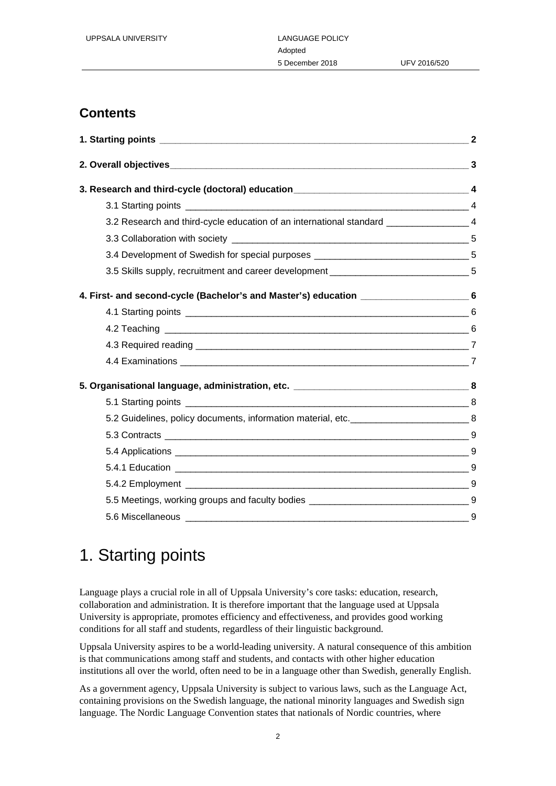### **Contents**

|                                                                                                | $\overline{4}$ |
|------------------------------------------------------------------------------------------------|----------------|
| 3.2 Research and third-cycle education of an international standard _________________________4 |                |
|                                                                                                |                |
| 3.4 Development of Swedish for special purposes __________________________________5            |                |
| 3.5 Skills supply, recruitment and career development ___________________________5             |                |
| 4. First- and second-cycle (Bachelor's and Master's) education ______________________6         |                |
|                                                                                                |                |
|                                                                                                |                |
|                                                                                                |                |
|                                                                                                |                |
|                                                                                                |                |
|                                                                                                |                |
| 5.2 Guidelines, policy documents, information material, etc. ________________________________8 |                |
|                                                                                                |                |
|                                                                                                |                |
|                                                                                                |                |
|                                                                                                |                |
|                                                                                                |                |
|                                                                                                |                |

# 1. Starting points

Language plays a crucial role in all of Uppsala University's core tasks: education, research, collaboration and administration. It is therefore important that the language used at Uppsala University is appropriate, promotes efficiency and effectiveness, and provides good working conditions for all staff and students, regardless of their linguistic background.

Uppsala University aspires to be a world-leading university. A natural consequence of this ambition is that communications among staff and students, and contacts with other higher education institutions all over the world, often need to be in a language other than Swedish, generally English.

As a government agency, Uppsala University is subject to various laws, such as the Language Act, containing provisions on the Swedish language, the national minority languages and Swedish sign language. The Nordic Language Convention states that nationals of Nordic countries, where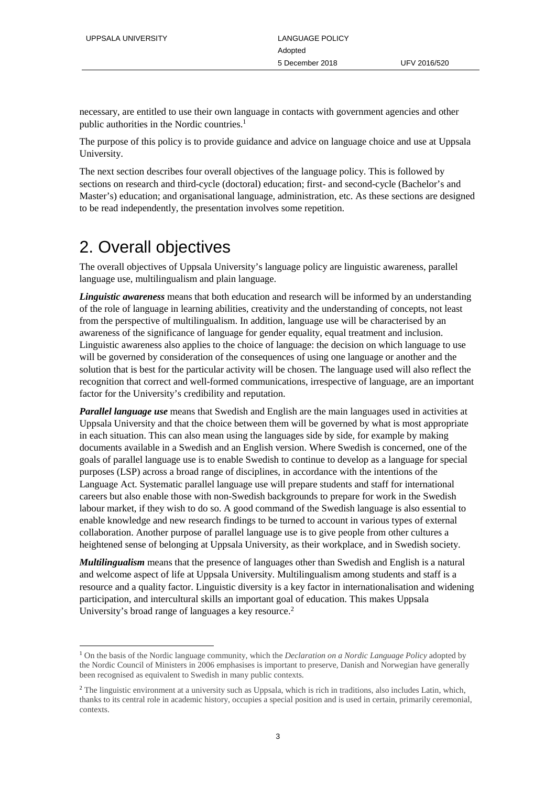necessary, are entitled to use their own language in contacts with government agencies and other public authorities in the Nordic countries.<sup>1</sup>

The purpose of this policy is to provide guidance and advice on language choice and use at Uppsala University.

The next section describes four overall objectives of the language policy. This is followed by sections on research and third-cycle (doctoral) education; first- and second-cycle (Bachelor's and Master's) education; and organisational language, administration, etc. As these sections are designed to be read independently, the presentation involves some repetition.

# 2. Overall objectives

The overall objectives of Uppsala University's language policy are linguistic awareness, parallel language use, multilingualism and plain language.

*Linguistic awareness* means that both education and research will be informed by an understanding of the role of language in learning abilities, creativity and the understanding of concepts, not least from the perspective of multilingualism. In addition, language use will be characterised by an awareness of the significance of language for gender equality, equal treatment and inclusion. Linguistic awareness also applies to the choice of language: the decision on which language to use will be governed by consideration of the consequences of using one language or another and the solution that is best for the particular activity will be chosen. The language used will also reflect the recognition that correct and well-formed communications, irrespective of language, are an important factor for the University's credibility and reputation.

*Parallel language use* means that Swedish and English are the main languages used in activities at Uppsala University and that the choice between them will be governed by what is most appropriate in each situation. This can also mean using the languages side by side, for example by making documents available in a Swedish and an English version. Where Swedish is concerned, one of the goals of parallel language use is to enable Swedish to continue to develop as a language for special purposes (LSP) across a broad range of disciplines, in accordance with the intentions of the Language Act. Systematic parallel language use will prepare students and staff for international careers but also enable those with non-Swedish backgrounds to prepare for work in the Swedish labour market, if they wish to do so. A good command of the Swedish language is also essential to enable knowledge and new research findings to be turned to account in various types of external collaboration. Another purpose of parallel language use is to give people from other cultures a heightened sense of belonging at Uppsala University, as their workplace, and in Swedish society.

*Multilingualism* means that the presence of languages other than Swedish and English is a natural and welcome aspect of life at Uppsala University. Multilingualism among students and staff is a resource and a quality factor. Linguistic diversity is a key factor in internationalisation and widening participation, and intercultural skills an important goal of education. This makes Uppsala University's broad range of languages a key resource.<sup>2</sup>

 <sup>1</sup> On the basis of the Nordic language community, which the *Declaration on a Nordic Language Policy* adopted by the Nordic Council of Ministers in 2006 emphasises is important to preserve, Danish and Norwegian have generally been recognised as equivalent to Swedish in many public contexts.

 $<sup>2</sup>$  The linguistic environment at a university such as Uppsala, which is rich in traditions, also includes Latin, which,</sup> thanks to its central role in academic history, occupies a special position and is used in certain, primarily ceremonial, contexts.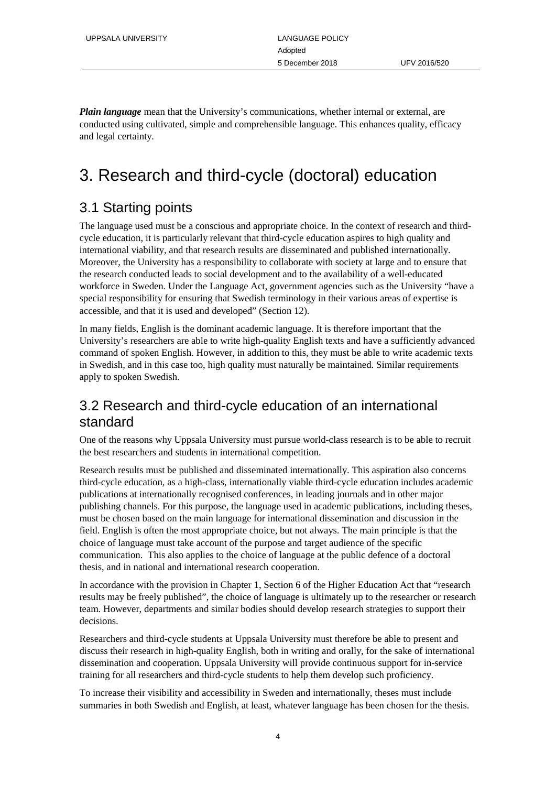*Plain language* mean that the University's communications, whether internal or external, are conducted using cultivated, simple and comprehensible language. This enhances quality, efficacy and legal certainty.

# 3. Research and third-cycle (doctoral) education

#### 3.1 Starting points

The language used must be a conscious and appropriate choice. In the context of research and thirdcycle education, it is particularly relevant that third-cycle education aspires to high quality and international viability, and that research results are disseminated and published internationally. Moreover, the University has a responsibility to collaborate with society at large and to ensure that the research conducted leads to social development and to the availability of a well-educated workforce in Sweden. Under the Language Act, government agencies such as the University "have a special responsibility for ensuring that Swedish terminology in their various areas of expertise is accessible, and that it is used and developed" (Section 12).

In many fields, English is the dominant academic language. It is therefore important that the University's researchers are able to write high-quality English texts and have a sufficiently advanced command of spoken English. However, in addition to this, they must be able to write academic texts in Swedish, and in this case too, high quality must naturally be maintained. Similar requirements apply to spoken Swedish.

#### 3.2 Research and third-cycle education of an international standard

One of the reasons why Uppsala University must pursue world-class research is to be able to recruit the best researchers and students in international competition.

Research results must be published and disseminated internationally. This aspiration also concerns third-cycle education, as a high-class, internationally viable third-cycle education includes academic publications at internationally recognised conferences, in leading journals and in other major publishing channels. For this purpose, the language used in academic publications, including theses, must be chosen based on the main language for international dissemination and discussion in the field. English is often the most appropriate choice, but not always. The main principle is that the choice of language must take account of the purpose and target audience of the specific communication. This also applies to the choice of language at the public defence of a doctoral thesis, and in national and international research cooperation.

In accordance with the provision in Chapter 1, Section 6 of the Higher Education Act that "research results may be freely published", the choice of language is ultimately up to the researcher or research team. However, departments and similar bodies should develop research strategies to support their decisions.

Researchers and third-cycle students at Uppsala University must therefore be able to present and discuss their research in high-quality English, both in writing and orally, for the sake of international dissemination and cooperation. Uppsala University will provide continuous support for in-service training for all researchers and third-cycle students to help them develop such proficiency.

To increase their visibility and accessibility in Sweden and internationally, theses must include summaries in both Swedish and English, at least, whatever language has been chosen for the thesis.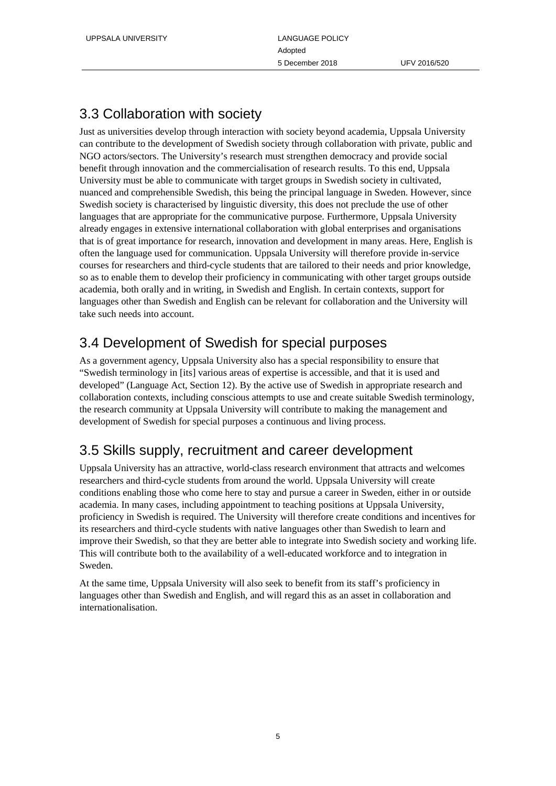#### 3.3 Collaboration with society

Just as universities develop through interaction with society beyond academia, Uppsala University can contribute to the development of Swedish society through collaboration with private, public and NGO actors/sectors. The University's research must strengthen democracy and provide social benefit through innovation and the commercialisation of research results. To this end, Uppsala University must be able to communicate with target groups in Swedish society in cultivated, nuanced and comprehensible Swedish, this being the principal language in Sweden. However, since Swedish society is characterised by linguistic diversity, this does not preclude the use of other languages that are appropriate for the communicative purpose. Furthermore, Uppsala University already engages in extensive international collaboration with global enterprises and organisations that is of great importance for research, innovation and development in many areas. Here, English is often the language used for communication. Uppsala University will therefore provide in-service courses for researchers and third-cycle students that are tailored to their needs and prior knowledge, so as to enable them to develop their proficiency in communicating with other target groups outside academia, both orally and in writing, in Swedish and English. In certain contexts, support for languages other than Swedish and English can be relevant for collaboration and the University will take such needs into account.

#### 3.4 Development of Swedish for special purposes

As a government agency, Uppsala University also has a special responsibility to ensure that "Swedish terminology in [its] various areas of expertise is accessible, and that it is used and developed" (Language Act, Section 12). By the active use of Swedish in appropriate research and collaboration contexts, including conscious attempts to use and create suitable Swedish terminology, the research community at Uppsala University will contribute to making the management and development of Swedish for special purposes a continuous and living process.

#### 3.5 Skills supply, recruitment and career development

Uppsala University has an attractive, world-class research environment that attracts and welcomes researchers and third-cycle students from around the world. Uppsala University will create conditions enabling those who come here to stay and pursue a career in Sweden, either in or outside academia. In many cases, including appointment to teaching positions at Uppsala University, proficiency in Swedish is required. The University will therefore create conditions and incentives for its researchers and third-cycle students with native languages other than Swedish to learn and improve their Swedish, so that they are better able to integrate into Swedish society and working life. This will contribute both to the availability of a well-educated workforce and to integration in Sweden.

At the same time, Uppsala University will also seek to benefit from its staff's proficiency in languages other than Swedish and English, and will regard this as an asset in collaboration and internationalisation.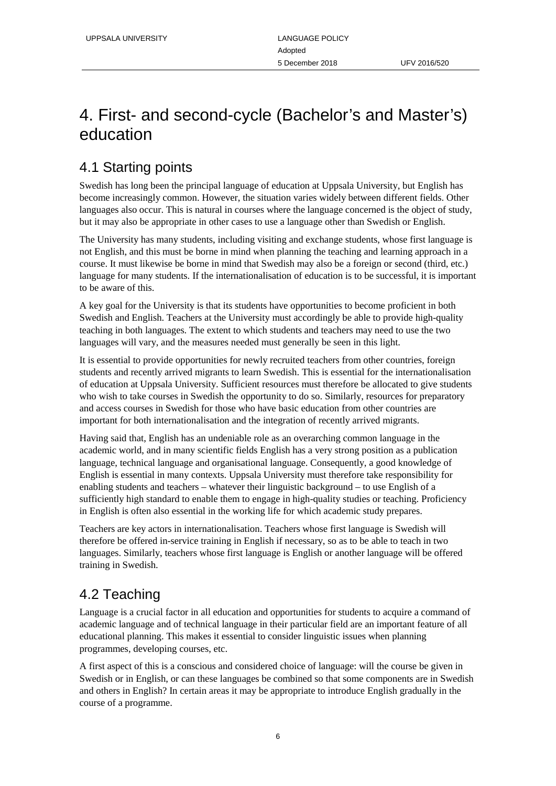# 4. First- and second-cycle (Bachelor's and Master's) education

## 4.1 Starting points

Swedish has long been the principal language of education at Uppsala University, but English has become increasingly common. However, the situation varies widely between different fields. Other languages also occur. This is natural in courses where the language concerned is the object of study, but it may also be appropriate in other cases to use a language other than Swedish or English.

The University has many students, including visiting and exchange students, whose first language is not English, and this must be borne in mind when planning the teaching and learning approach in a course. It must likewise be borne in mind that Swedish may also be a foreign or second (third, etc.) language for many students. If the internationalisation of education is to be successful, it is important to be aware of this.

A key goal for the University is that its students have opportunities to become proficient in both Swedish and English. Teachers at the University must accordingly be able to provide high-quality teaching in both languages. The extent to which students and teachers may need to use the two languages will vary, and the measures needed must generally be seen in this light.

It is essential to provide opportunities for newly recruited teachers from other countries, foreign students and recently arrived migrants to learn Swedish. This is essential for the internationalisation of education at Uppsala University. Sufficient resources must therefore be allocated to give students who wish to take courses in Swedish the opportunity to do so. Similarly, resources for preparatory and access courses in Swedish for those who have basic education from other countries are important for both internationalisation and the integration of recently arrived migrants.

Having said that, English has an undeniable role as an overarching common language in the academic world, and in many scientific fields English has a very strong position as a publication language, technical language and organisational language. Consequently, a good knowledge of English is essential in many contexts. Uppsala University must therefore take responsibility for enabling students and teachers – whatever their linguistic background – to use English of a sufficiently high standard to enable them to engage in high-quality studies or teaching. Proficiency in English is often also essential in the working life for which academic study prepares.

Teachers are key actors in internationalisation. Teachers whose first language is Swedish will therefore be offered in-service training in English if necessary, so as to be able to teach in two languages. Similarly, teachers whose first language is English or another language will be offered training in Swedish.

## 4.2 Teaching

Language is a crucial factor in all education and opportunities for students to acquire a command of academic language and of technical language in their particular field are an important feature of all educational planning. This makes it essential to consider linguistic issues when planning programmes, developing courses, etc.

A first aspect of this is a conscious and considered choice of language: will the course be given in Swedish or in English, or can these languages be combined so that some components are in Swedish and others in English? In certain areas it may be appropriate to introduce English gradually in the course of a programme.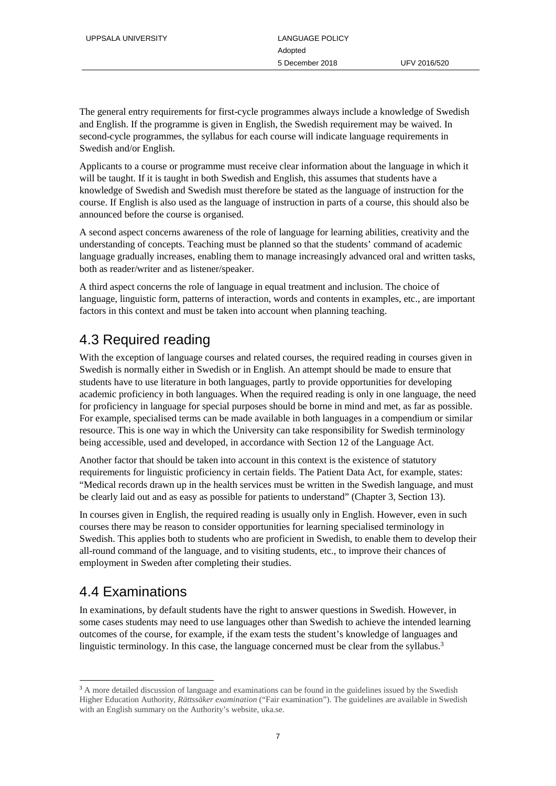The general entry requirements for first-cycle programmes always include a knowledge of Swedish and English. If the programme is given in English, the Swedish requirement may be waived. In second-cycle programmes, the syllabus for each course will indicate language requirements in Swedish and/or English.

Applicants to a course or programme must receive clear information about the language in which it will be taught. If it is taught in both Swedish and English, this assumes that students have a knowledge of Swedish and Swedish must therefore be stated as the language of instruction for the course. If English is also used as the language of instruction in parts of a course, this should also be announced before the course is organised.

A second aspect concerns awareness of the role of language for learning abilities, creativity and the understanding of concepts. Teaching must be planned so that the students' command of academic language gradually increases, enabling them to manage increasingly advanced oral and written tasks, both as reader/writer and as listener/speaker.

A third aspect concerns the role of language in equal treatment and inclusion. The choice of language, linguistic form, patterns of interaction, words and contents in examples, etc., are important factors in this context and must be taken into account when planning teaching.

#### 4.3 Required reading

With the exception of language courses and related courses, the required reading in courses given in Swedish is normally either in Swedish or in English. An attempt should be made to ensure that students have to use literature in both languages, partly to provide opportunities for developing academic proficiency in both languages. When the required reading is only in one language, the need for proficiency in language for special purposes should be borne in mind and met, as far as possible. For example, specialised terms can be made available in both languages in a compendium or similar resource. This is one way in which the University can take responsibility for Swedish terminology being accessible, used and developed, in accordance with Section 12 of the Language Act.

Another factor that should be taken into account in this context is the existence of statutory requirements for linguistic proficiency in certain fields. The Patient Data Act, for example, states: "Medical records drawn up in the health services must be written in the Swedish language, and must be clearly laid out and as easy as possible for patients to understand" (Chapter 3, Section 13).

In courses given in English, the required reading is usually only in English. However, even in such courses there may be reason to consider opportunities for learning specialised terminology in Swedish. This applies both to students who are proficient in Swedish, to enable them to develop their all-round command of the language, and to visiting students, etc., to improve their chances of employment in Sweden after completing their studies.

#### 4.4 Examinations

In examinations, by default students have the right to answer questions in Swedish. However, in some cases students may need to use languages other than Swedish to achieve the intended learning outcomes of the course, for example, if the exam tests the student's knowledge of languages and linguistic terminology. In this case, the language concerned must be clear from the syllabus.<sup>3</sup>

<sup>&</sup>lt;sup>3</sup> A more detailed discussion of language and examinations can be found in the guidelines issued by the Swedish Higher Education Authority, *Rättssäker examination* ("Fair examination"). The guidelines are available in Swedish with an English summary on the Authority's website, uka.se.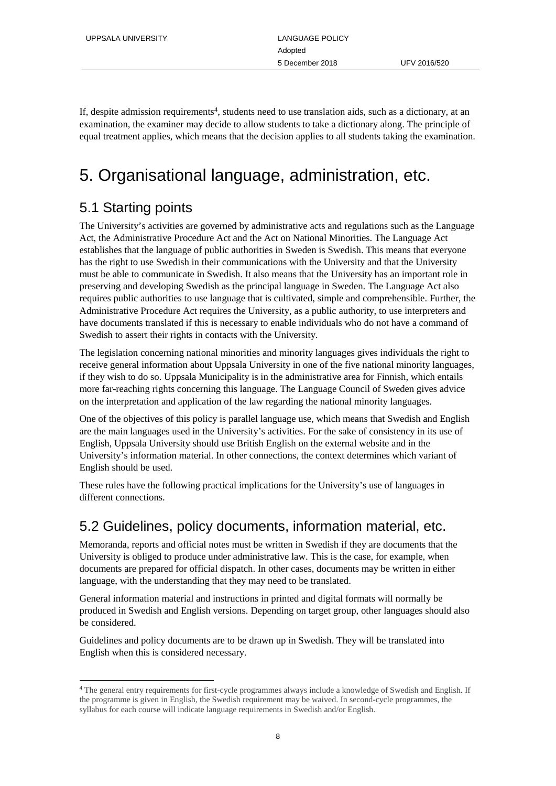If, despite admission requirements<sup>4</sup>, students need to use translation aids, such as a dictionary, at an examination, the examiner may decide to allow students to take a dictionary along. The principle of equal treatment applies, which means that the decision applies to all students taking the examination.

# 5. Organisational language, administration, etc.

#### 5.1 Starting points

The University's activities are governed by administrative acts and regulations such as the Language Act, the Administrative Procedure Act and the Act on National Minorities. The Language Act establishes that the language of public authorities in Sweden is Swedish. This means that everyone has the right to use Swedish in their communications with the University and that the University must be able to communicate in Swedish. It also means that the University has an important role in preserving and developing Swedish as the principal language in Sweden. The Language Act also requires public authorities to use language that is cultivated, simple and comprehensible. Further, the Administrative Procedure Act requires the University, as a public authority, to use interpreters and have documents translated if this is necessary to enable individuals who do not have a command of Swedish to assert their rights in contacts with the University.

The legislation concerning national minorities and minority languages gives individuals the right to receive general information about Uppsala University in one of the five national minority languages, if they wish to do so. Uppsala Municipality is in the administrative area for Finnish, which entails more far-reaching rights concerning this language. The Language Council of Sweden gives advice on the interpretation and application of the law regarding the national minority languages.

One of the objectives of this policy is parallel language use, which means that Swedish and English are the main languages used in the University's activities. For the sake of consistency in its use of English, Uppsala University should use British English on the external website and in the University's information material. In other connections, the context determines which variant of English should be used.

These rules have the following practical implications for the University's use of languages in different connections.

#### 5.2 Guidelines, policy documents, information material, etc.

Memoranda, reports and official notes must be written in Swedish if they are documents that the University is obliged to produce under administrative law. This is the case, for example, when documents are prepared for official dispatch. In other cases, documents may be written in either language, with the understanding that they may need to be translated.

General information material and instructions in printed and digital formats will normally be produced in Swedish and English versions. Depending on target group, other languages should also be considered.

Guidelines and policy documents are to be drawn up in Swedish. They will be translated into English when this is considered necessary.

 <sup>4</sup> The general entry requirements for first-cycle programmes always include a knowledge of Swedish and English. If the programme is given in English, the Swedish requirement may be waived. In second-cycle programmes, the syllabus for each course will indicate language requirements in Swedish and/or English.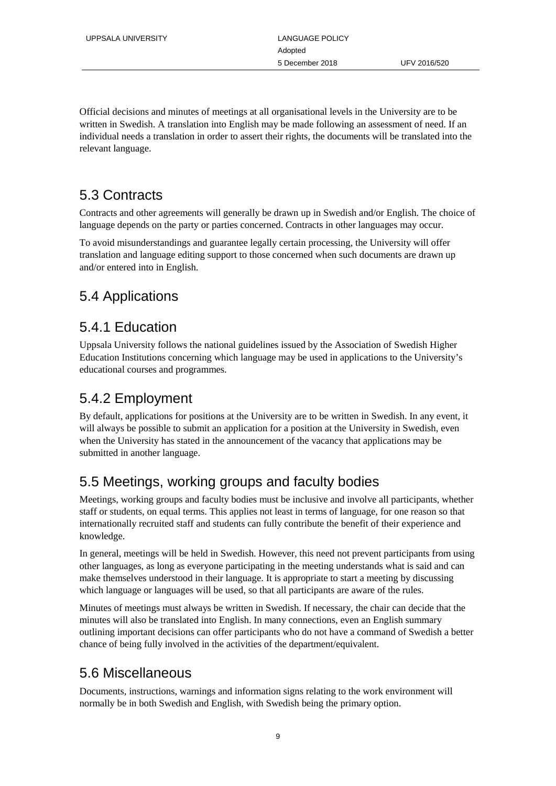Official decisions and minutes of meetings at all organisational levels in the University are to be written in Swedish. A translation into English may be made following an assessment of need. If an individual needs a translation in order to assert their rights, the documents will be translated into the relevant language.

## 5.3 Contracts

Contracts and other agreements will generally be drawn up in Swedish and/or English. The choice of language depends on the party or parties concerned. Contracts in other languages may occur.

To avoid misunderstandings and guarantee legally certain processing, the University will offer translation and language editing support to those concerned when such documents are drawn up and/or entered into in English.

#### 5.4 Applications

#### 5.4.1 Education

Uppsala University follows the national guidelines issued by the Association of Swedish Higher Education Institutions concerning which language may be used in applications to the University's educational courses and programmes.

## 5.4.2 Employment

By default, applications for positions at the University are to be written in Swedish. In any event, it will always be possible to submit an application for a position at the University in Swedish, even when the University has stated in the announcement of the vacancy that applications may be submitted in another language.

## 5.5 Meetings, working groups and faculty bodies

Meetings, working groups and faculty bodies must be inclusive and involve all participants, whether staff or students, on equal terms. This applies not least in terms of language, for one reason so that internationally recruited staff and students can fully contribute the benefit of their experience and knowledge.

In general, meetings will be held in Swedish. However, this need not prevent participants from using other languages, as long as everyone participating in the meeting understands what is said and can make themselves understood in their language. It is appropriate to start a meeting by discussing which language or languages will be used, so that all participants are aware of the rules.

Minutes of meetings must always be written in Swedish. If necessary, the chair can decide that the minutes will also be translated into English. In many connections, even an English summary outlining important decisions can offer participants who do not have a command of Swedish a better chance of being fully involved in the activities of the department/equivalent.

#### 5.6 Miscellaneous

Documents, instructions, warnings and information signs relating to the work environment will normally be in both Swedish and English, with Swedish being the primary option.